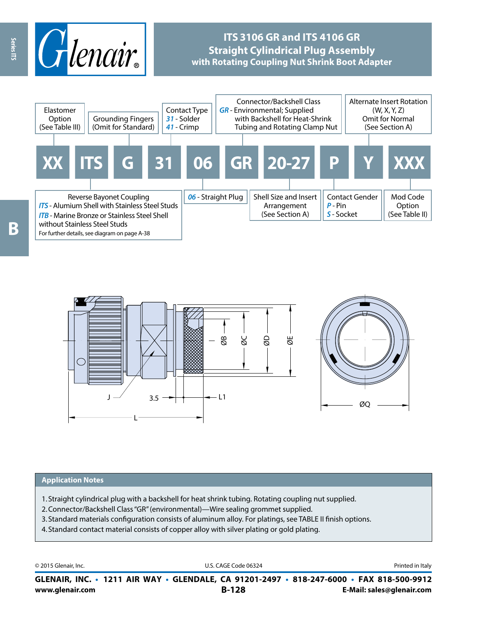

## **ITS 3106 GR and ITS 4106 GR Straight Cylindrical Plug Assembly with Rotating Coupling Nut Shrink Boot Adapter**





#### **Application Notes**

- 1. Straight cylindrical plug with a backshell for heat shrink tubing. Rotating coupling nut supplied.
- 2.Connector/Backshell Class "GR" (environmental)—Wire sealing grommet supplied.
- 3. Standard materials configuration consists of aluminum alloy. For platings, see TABLE II finish options.
- 4. Standard contact material consists of copper alloy with silver plating or gold plating.

© 2015 Glenair, Inc. **Discription Construction Construction Construction Construction Construction Construction Construction Construction Construction Construction Construction Construction Construction Construction Constr** 

**www.glenair.com B-128 E-Mail: sales@glenair.com GLENAIR, INC. • 1211 AIR WAY • GLENDALE, CA 91201-2497 • 818-247-6000 • FAX 818-500-9912**